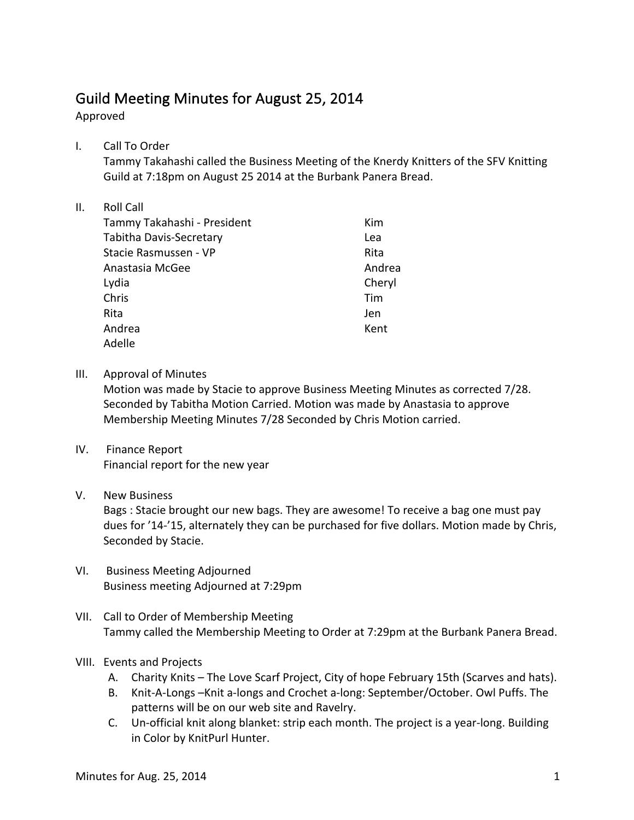## Guild Meeting Minutes for August 25, 2014

Approved

I. Call To Order

Tammy Takahashi called the Business Meeting of the Knerdy Knitters of the SFV Knitting Guild at 7:18pm on August 25 2014 at the Burbank Panera Bread.

## II. Roll Call

| Tammy Takahashi - President    | Kim    |
|--------------------------------|--------|
| <b>Tabitha Davis-Secretary</b> | Lea    |
| Stacie Rasmussen - VP          | Rita   |
| Anastasia McGee                | Andrea |
| Lydia                          | Cheryl |
| Chris                          | Tim    |
| Rita                           | Jen    |
| Andrea                         | Kent   |
| Adelle                         |        |

III. Approval of Minutes

Motion was made by Stacie to approve Business Meeting Minutes as corrected 7/28. Seconded by Tabitha Motion Carried. Motion was made by Anastasia to approve Membership Meeting Minutes 7/28 Seconded by Chris Motion carried.

IV. Finance Report Financial report for the new year

## V. New Business

Bags : Stacie brought our new bags. They are awesome! To receive a bag one must pay dues for '14-'15, alternately they can be purchased for five dollars. Motion made by Chris, Seconded by Stacie.

- VI. Business Meeting Adjourned Business meeting Adjourned at 7:29pm
- VII. Call to Order of Membership Meeting Tammy called the Membership Meeting to Order at 7:29pm at the Burbank Panera Bread.
- VIII. Events and Projects
	- A. Charity Knits The Love Scarf Project, City of hope February 15th (Scarves and hats).
	- B. Knit-A-Longs -Knit a-longs and Crochet a-long: September/October. Owl Puffs. The patterns will be on our web site and Ravelry.
	- C. Un-official knit along blanket: strip each month. The project is a year-long. Building in Color by KnitPurl Hunter.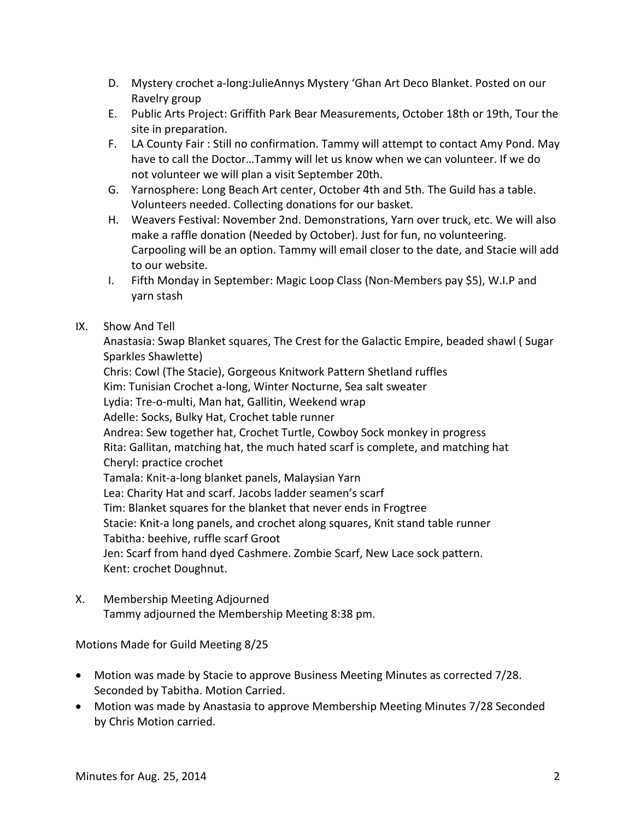- D. Mystery crochet a-long:JulieAnnys Mystery 'Ghan Art Deco Blanket. Posted on our Ravelry group
- E. Public Arts Project: Griffith Park Bear Measurements, October 18th or 19th, Tour the site in preparation.
- F. LA County Fair: Still no confirmation. Tammy will attempt to contact Amy Pond. May have to call the Doctor...Tammy will let us know when we can volunteer. If we do not volunteer we will plan a visit September 20th.
- G. Yarnosphere: Long Beach Art center, October 4th and 5th. The Guild has a table. Volunteers needed. Collecting donations for our basket.
- H. Weavers Festival: November 2nd. Demonstrations, Yarn over truck, etc. We will also make a raffle donation (Needed by October). Just for fun, no volunteering. Carpooling will be an option. Tammy will email closer to the date, and Stacie will add to our website.
- I. Fifth Monday in September: Magic Loop Class (Non-Members pay \$5), W.I.P and yarn stash

## IX. Show And Tell

Anastasia: Swap Blanket squares, The Crest for the Galactic Empire, beaded shawl (Sugar Sparkles Shawlette)

Chris: Cowl (The Stacie), Gorgeous Knitwork Pattern Shetland ruffles Kim: Tunisian Crochet a-long, Winter Nocturne, Sea salt sweater Lydia: Tre-o-multi, Man hat, Gallitin, Weekend wrap Adelle: Socks, Bulky Hat, Crochet table runner Andrea: Sew together hat, Crochet Turtle, Cowboy Sock monkey in progress Rita: Gallitan, matching hat, the much hated scarf is complete, and matching hat Cheryl: practice crochet Tamala: Knit-a-long blanket panels, Malaysian Yarn Lea: Charity Hat and scarf. Jacobs ladder seamen's scarf Tim: Blanket squares for the blanket that never ends in Frogtree Stacie: Knit-a long panels, and crochet along squares, Knit stand table runner Tabitha: beehive, ruffle scarf Groot Jen: Scarf from hand dyed Cashmere. Zombie Scarf, New Lace sock pattern. Kent: crochet Doughnut.

X. Membership Meeting Adjourned Tammy adjourned the Membership Meeting 8:38 pm.

Motions Made for Guild Meeting 8/25

- Motion was made by Stacie to approve Business Meeting Minutes as corrected 7/28. Seconded by Tabitha. Motion Carried.
- Motion was made by Anastasia to approve Membership Meeting Minutes 7/28 Seconded by Chris Motion carried.